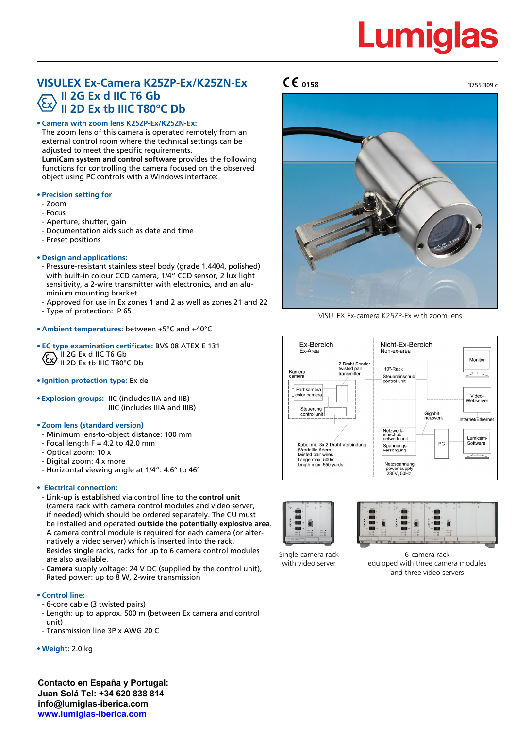# <u>Lumiglas</u>

# **VISULEX Ex-Camera K25ZP-Ex/K25ZN-Ex CE 0158 II 2G Ex d IIC T6 Gb II 2D Ex tb IIIC T80°C Db**

# **• Camera with zoom lens K25ZP-Ex/K25ZN-Ex:**

The zoom lens of this camera is operated remotely from an external control room where the technical settings can be adjusted to meet the specific requirements.

**LumiCam system and control software** provides the following functions for controlling the camera focused on the observed object using PC controls with a Windows interface:

#### **• Precision setting for**

- Zoom
- Focus
- Aperture, shutter, gain
- Documentation aids such as date and time
- Preset positions
- **• Design and applications:**
	- Pressure-resistant stainless steel body (grade 1.4404, polished) with built-in colour CCD camera, 1/4" CCD sensor, 2 lux light sensitivity, a 2-wire transmitter with electronics, and an alu minium mounting bracket
	- Approved for use in Ex zones 1 and 2 as well as zones 21 and 22
- Type of protection: IP 65
- **• Ambient temperatures:** between +5°C and +40°C
- **• EC type examination certificate:** BVS 08 ATEX E 131 II 2G Ex d IIC T6 Gb  $\langle \xi x \rangle$  II 2D Ex tb IIIC T80°C Db
- **• Ignition protection type:** Ex de
- **• Explosion groups:** IIC (includes IIA and IIB) IIIC (includes IIIA and IIIB)
- **• Zoom lens (standard version)**
- Minimum lens-to-object distance: 100 mm
- $-$  Focal length F = 4.2 to 42.0 mm
- Optical zoom: 10 x
- Digital zoom: 4 x more
- Horizontal viewing angle at 1/4": 4.6° to 46°

#### • **Electrical connection:**

- Link-up is established via control line to the **control unit** (camera rack with camera control modules and video server, if needed) which should be ordered separately. The CU must be installed and operated **outside the potentially explosive area**. A camera control module is required for each camera (or alter natively a video server) which is inserted into the rack. Besides single racks, racks for up to 6 camera control modules are also available.

- **Camera** supply voltage: 24 V DC (supplied by the control unit), Rated power: up to 8 W, 2-wire transmission

#### **• Control line:**

- 6-core cable (3 twisted pairs)
- Length: up to approx. 500 m (between Ex camera and control unit)
- Transmission line 3P x AWG 20 C
- **• Weight:** 2.0 kg

**Contacto en España y Portugal: Juan Solá Tel: +34 620 838 814 info@lumiglas-iberica.com www.lumiglas-iberica.com**





VISULEX Ex-camera K25ZP-Ex with zoom lens









6-camera rack equipped with three camera modules and three video servers